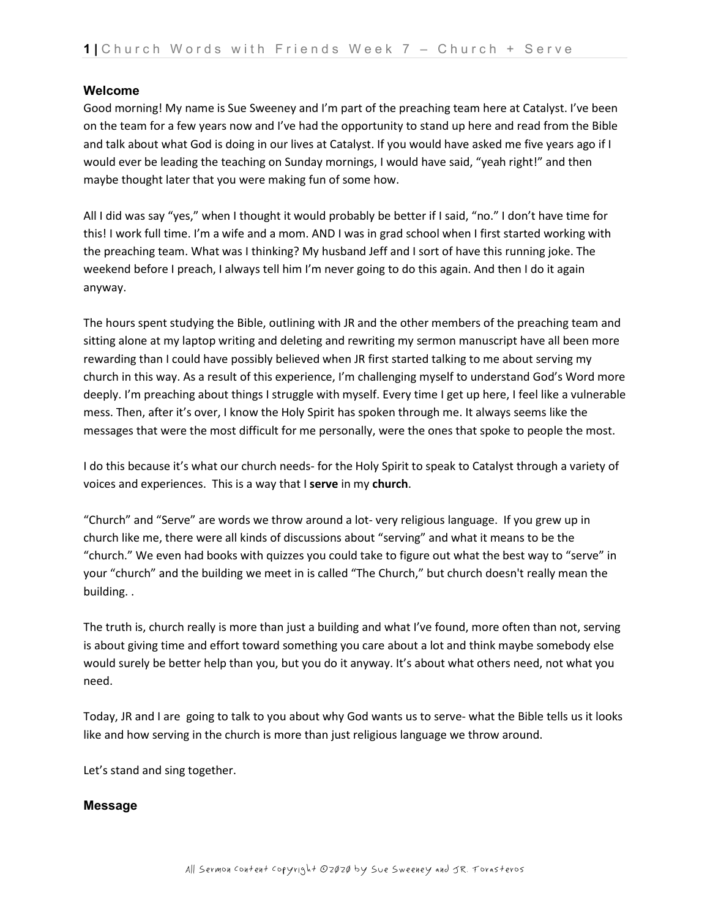### **Welcome**

Good morning! My name is Sue Sweeney and I'm part of the preaching team here at Catalyst. I've been on the team for a few years now and I've had the opportunity to stand up here and read from the Bible and talk about what God is doing in our lives at Catalyst. If you would have asked me five years ago if I would ever be leading the teaching on Sunday mornings, I would have said, "yeah right!" and then maybe thought later that you were making fun of some how.

All I did was say "yes," when I thought it would probably be better if I said, "no." I don't have time for this! I work full time. I'm a wife and a mom. AND I was in grad school when I first started working with the preaching team. What was I thinking? My husband Jeff and I sort of have this running joke. The weekend before I preach, I always tell him I'm never going to do this again. And then I do it again anyway.

The hours spent studying the Bible, outlining with JR and the other members of the preaching team and sitting alone at my laptop writing and deleting and rewriting my sermon manuscript have all been more rewarding than I could have possibly believed when JR first started talking to me about serving my church in this way. As a result of this experience, I'm challenging myself to understand God's Word more deeply. I'm preaching about things I struggle with myself. Every time I get up here, I feel like a vulnerable mess. Then, after it's over, I know the Holy Spirit has spoken through me. It always seems like the messages that were the most difficult for me personally, were the ones that spoke to people the most.

I do this because it's what our church needs- for the Holy Spirit to speak to Catalyst through a variety of voices and experiences. This is a way that I **serve** in my **church**.

"Church" and "Serve" are words we throw around a lot- very religious language. If you grew up in church like me, there were all kinds of discussions about "serving" and what it means to be the "church." We even had books with quizzes you could take to figure out what the best way to "serve" in your "church" and the building we meet in is called "The Church," but church doesn't really mean the building. .

The truth is, church really is more than just a building and what I've found, more often than not, serving is about giving time and effort toward something you care about a lot and think maybe somebody else would surely be better help than you, but you do it anyway. It's about what others need, not what you need.

Today, JR and I are going to talk to you about why God wants us to serve- what the Bible tells us it looks like and how serving in the church is more than just religious language we throw around.

Let's stand and sing together.

## **Message**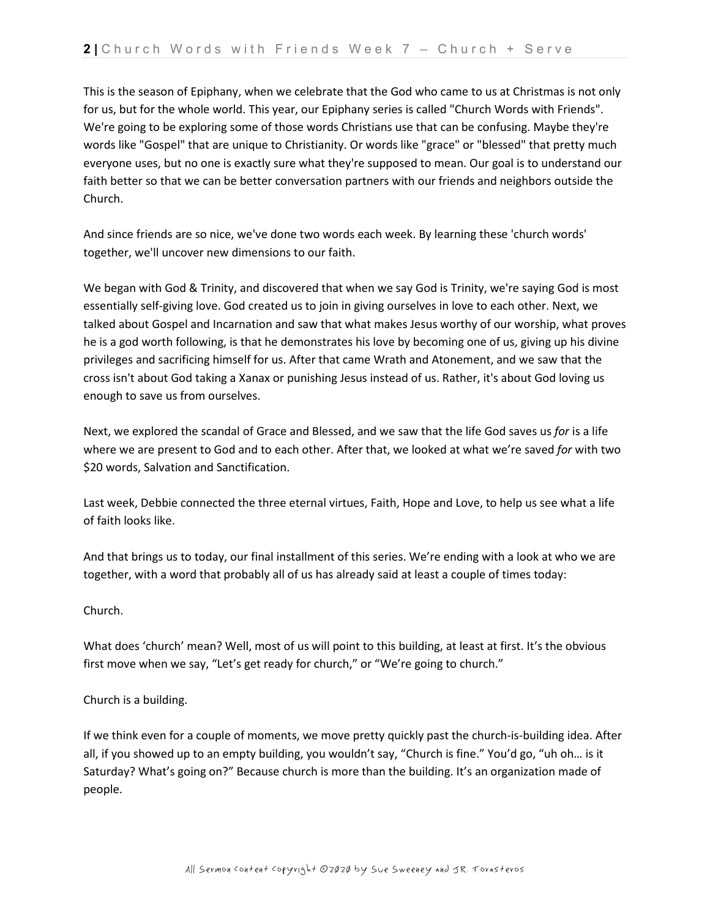This is the season of Epiphany, when we celebrate that the God who came to us at Christmas is not only for us, but for the whole world. This year, our Epiphany series is called "Church Words with Friends". We're going to be exploring some of those words Christians use that can be confusing. Maybe they're words like "Gospel" that are unique to Christianity. Or words like "grace" or "blessed" that pretty much everyone uses, but no one is exactly sure what they're supposed to mean. Our goal is to understand our faith better so that we can be better conversation partners with our friends and neighbors outside the Church.

And since friends are so nice, we've done two words each week. By learning these 'church words' together, we'll uncover new dimensions to our faith.

We began with God & Trinity, and discovered that when we say God is Trinity, we're saying God is most essentially self-giving love. God created us to join in giving ourselves in love to each other. Next, we talked about Gospel and Incarnation and saw that what makes Jesus worthy of our worship, what proves he is a god worth following, is that he demonstrates his love by becoming one of us, giving up his divine privileges and sacrificing himself for us. After that came Wrath and Atonement, and we saw that the cross isn't about God taking a Xanax or punishing Jesus instead of us. Rather, it's about God loving us enough to save us from ourselves.

Next, we explored the scandal of Grace and Blessed, and we saw that the life God saves us *for* is a life where we are present to God and to each other. After that, we looked at what we're saved *for* with two \$20 words, Salvation and Sanctification.

Last week, Debbie connected the three eternal virtues, Faith, Hope and Love, to help us see what a life of faith looks like.

And that brings us to today, our final installment of this series. We're ending with a look at who we are together, with a word that probably all of us has already said at least a couple of times today:

## Church.

What does 'church' mean? Well, most of us will point to this building, at least at first. It's the obvious first move when we say, "Let's get ready for church," or "We're going to church."

Church is a building.

If we think even for a couple of moments, we move pretty quickly past the church-is-building idea. After all, if you showed up to an empty building, you wouldn't say, "Church is fine." You'd go, "uh oh… is it Saturday? What's going on?" Because church is more than the building. It's an organization made of people.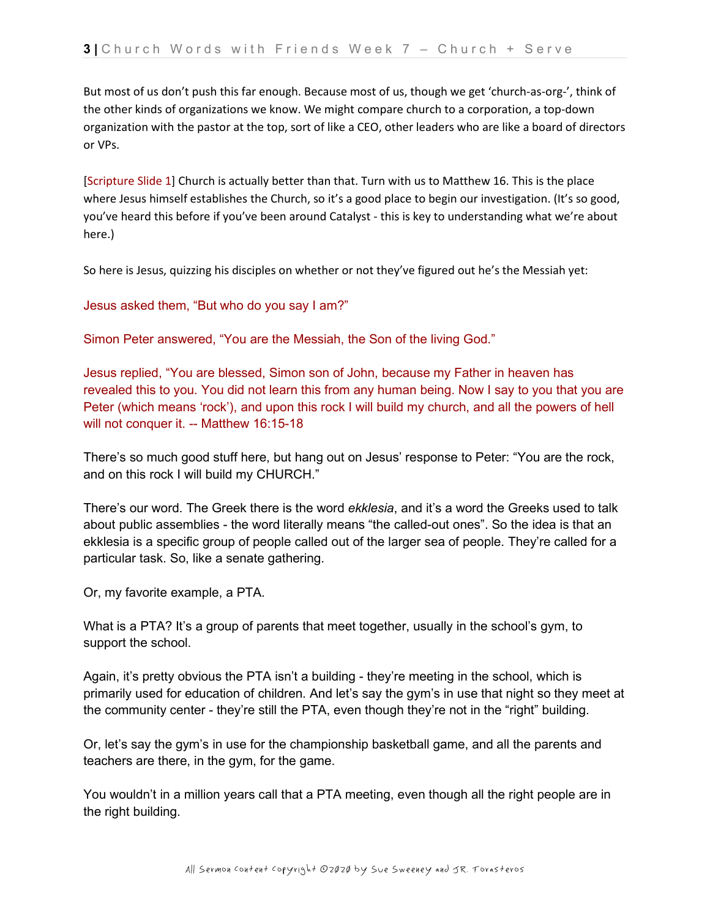But most of us don't push this far enough. Because most of us, though we get 'church-as-org-', think of the other kinds of organizations we know. We might compare church to a corporation, a top-down organization with the pastor at the top, sort of like a CEO, other leaders who are like a board of directors or VPs.

[Scripture Slide 1] Church is actually better than that. Turn with us to Matthew 16. This is the place where Jesus himself establishes the Church, so it's a good place to begin our investigation. (It's so good, you've heard this before if you've been around Catalyst - this is key to understanding what we're about here.)

So here is Jesus, quizzing his disciples on whether or not they've figured out he's the Messiah yet:

Jesus asked them, "But who do you say I am?"

Simon Peter answered, "You are the Messiah, the Son of the living God."

Jesus replied, "You are blessed, Simon son of John, because my Father in heaven has revealed this to you. You did not learn this from any human being. Now I say to you that you are Peter (which means 'rock'), and upon this rock I will build my church, and all the powers of hell will not conquer it. -- Matthew 16:15-18

There's so much good stuff here, but hang out on Jesus' response to Peter: "You are the rock, and on this rock I will build my CHURCH."

There's our word. The Greek there is the word *ekklesia*, and it's a word the Greeks used to talk about public assemblies - the word literally means "the called-out ones". So the idea is that an ekklesia is a specific group of people called out of the larger sea of people. They're called for a particular task. So, like a senate gathering.

Or, my favorite example, a PTA.

What is a PTA? It's a group of parents that meet together, usually in the school's gym, to support the school.

Again, it's pretty obvious the PTA isn't a building - they're meeting in the school, which is primarily used for education of children. And let's say the gym's in use that night so they meet at the community center - they're still the PTA, even though they're not in the "right" building.

Or, let's say the gym's in use for the championship basketball game, and all the parents and teachers are there, in the gym, for the game.

You wouldn't in a million years call that a PTA meeting, even though all the right people are in the right building.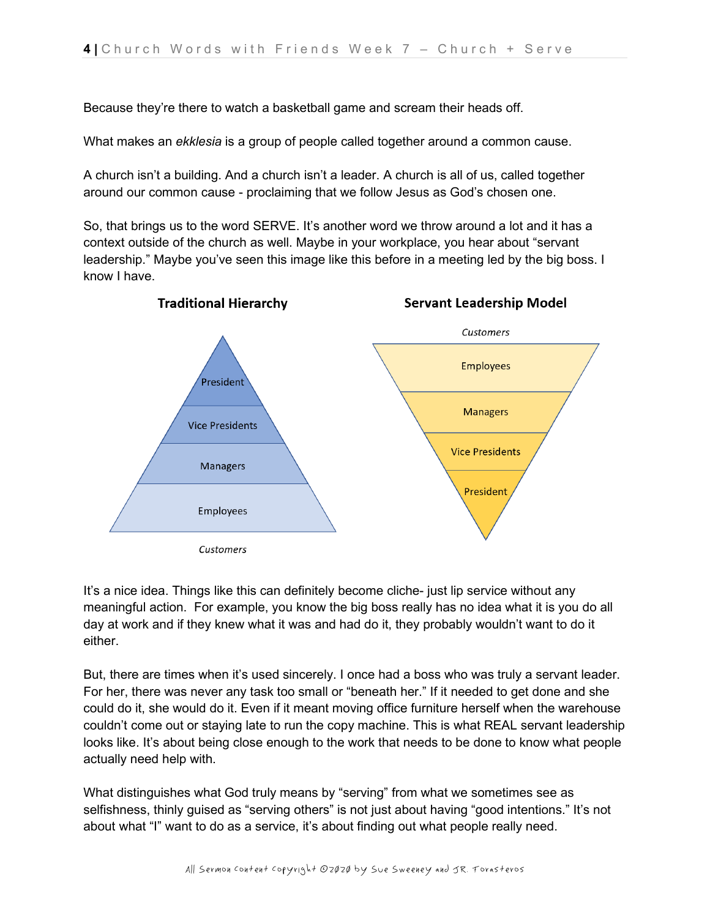Because they're there to watch a basketball game and scream their heads off.

What makes an *ekklesia* is a group of people called together around a common cause.

A church isn't a building. And a church isn't a leader. A church is all of us, called together around our common cause - proclaiming that we follow Jesus as God's chosen one.

So, that brings us to the word SERVE. It's another word we throw around a lot and it has a context outside of the church as well. Maybe in your workplace, you hear about "servant leadership." Maybe you've seen this image like this before in a meeting led by the big boss. I know I have.



It's a nice idea. Things like this can definitely become cliche- just lip service without any meaningful action. For example, you know the big boss really has no idea what it is you do all day at work and if they knew what it was and had do it, they probably wouldn't want to do it either.

But, there are times when it's used sincerely. I once had a boss who was truly a servant leader. For her, there was never any task too small or "beneath her." If it needed to get done and she could do it, she would do it. Even if it meant moving office furniture herself when the warehouse couldn't come out or staying late to run the copy machine. This is what REAL servant leadership looks like. It's about being close enough to the work that needs to be done to know what people actually need help with.

What distinguishes what God truly means by "serving" from what we sometimes see as selfishness, thinly guised as "serving others" is not just about having "good intentions." It's not about what "I" want to do as a service, it's about finding out what people really need.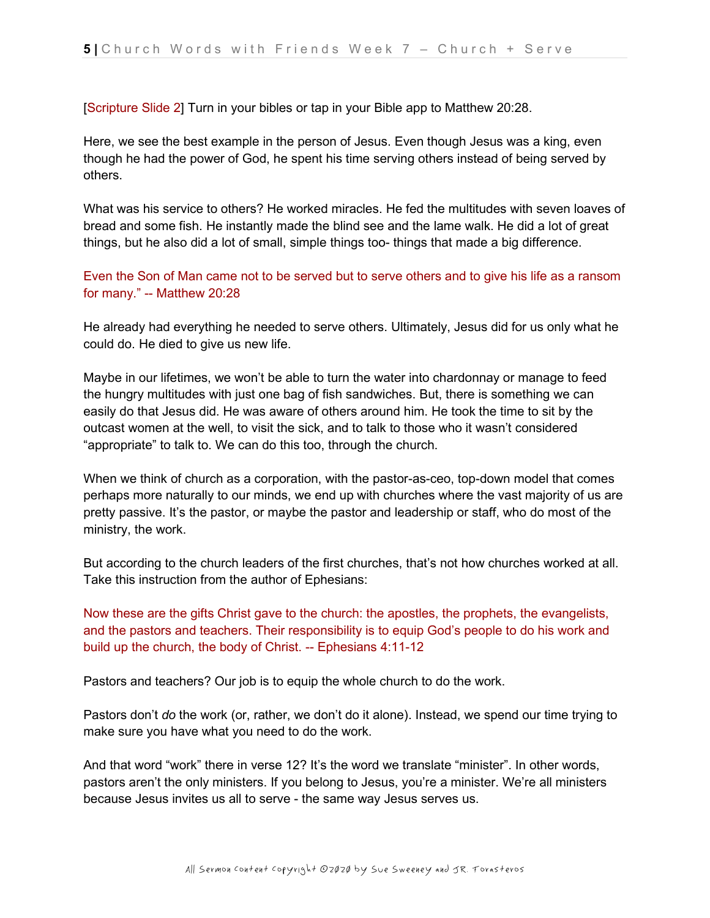[Scripture Slide 2] Turn in your bibles or tap in your Bible app to Matthew 20:28.

Here, we see the best example in the person of Jesus. Even though Jesus was a king, even though he had the power of God, he spent his time serving others instead of being served by others.

What was his service to others? He worked miracles. He fed the multitudes with seven loaves of bread and some fish. He instantly made the blind see and the lame walk. He did a lot of great things, but he also did a lot of small, simple things too- things that made a big difference.

Even the Son of Man came not to be served but to serve others and to give his life as a ransom for many." -- Matthew 20:28

He already had everything he needed to serve others. Ultimately, Jesus did for us only what he could do. He died to give us new life.

Maybe in our lifetimes, we won't be able to turn the water into chardonnay or manage to feed the hungry multitudes with just one bag of fish sandwiches. But, there is something we can easily do that Jesus did. He was aware of others around him. He took the time to sit by the outcast women at the well, to visit the sick, and to talk to those who it wasn't considered "appropriate" to talk to. We can do this too, through the church.

When we think of church as a corporation, with the pastor-as-ceo, top-down model that comes perhaps more naturally to our minds, we end up with churches where the vast majority of us are pretty passive. It's the pastor, or maybe the pastor and leadership or staff, who do most of the ministry, the work.

But according to the church leaders of the first churches, that's not how churches worked at all. Take this instruction from the author of Ephesians:

Now these are the gifts Christ gave to the church: the apostles, the prophets, the evangelists, and the pastors and teachers. Their responsibility is to equip God's people to do his work and build up the church, the body of Christ. -- Ephesians 4:11-12

Pastors and teachers? Our job is to equip the whole church to do the work.

Pastors don't *do* the work (or, rather, we don't do it alone). Instead, we spend our time trying to make sure you have what you need to do the work.

And that word "work" there in verse 12? It's the word we translate "minister". In other words, pastors aren't the only ministers. If you belong to Jesus, you're a minister. We're all ministers because Jesus invites us all to serve - the same way Jesus serves us.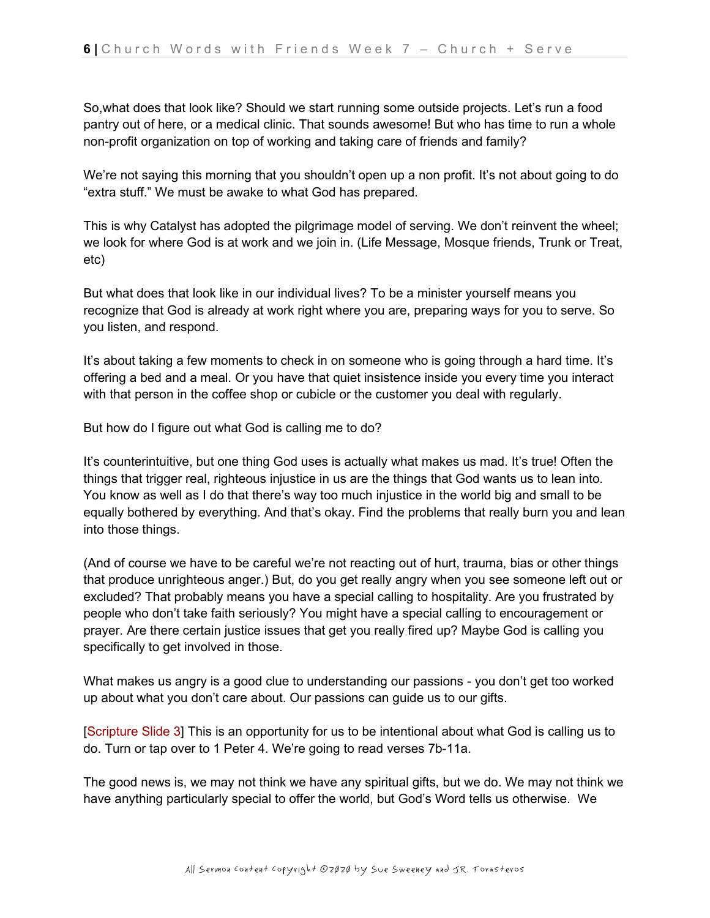So,what does that look like? Should we start running some outside projects. Let's run a food pantry out of here, or a medical clinic. That sounds awesome! But who has time to run a whole non-profit organization on top of working and taking care of friends and family?

We're not saying this morning that you shouldn't open up a non profit. It's not about going to do "extra stuff." We must be awake to what God has prepared.

This is why Catalyst has adopted the pilgrimage model of serving. We don't reinvent the wheel; we look for where God is at work and we join in. (Life Message, Mosque friends, Trunk or Treat, etc)

But what does that look like in our individual lives? To be a minister yourself means you recognize that God is already at work right where you are, preparing ways for you to serve. So you listen, and respond.

It's about taking a few moments to check in on someone who is going through a hard time. It's offering a bed and a meal. Or you have that quiet insistence inside you every time you interact with that person in the coffee shop or cubicle or the customer you deal with regularly.

But how do I figure out what God is calling me to do?

It's counterintuitive, but one thing God uses is actually what makes us mad. It's true! Often the things that trigger real, righteous injustice in us are the things that God wants us to lean into. You know as well as I do that there's way too much injustice in the world big and small to be equally bothered by everything. And that's okay. Find the problems that really burn you and lean into those things.

(And of course we have to be careful we're not reacting out of hurt, trauma, bias or other things that produce unrighteous anger.) But, do you get really angry when you see someone left out or excluded? That probably means you have a special calling to hospitality. Are you frustrated by people who don't take faith seriously? You might have a special calling to encouragement or prayer. Are there certain justice issues that get you really fired up? Maybe God is calling you specifically to get involved in those.

What makes us angry is a good clue to understanding our passions - you don't get too worked up about what you don't care about. Our passions can guide us to our gifts.

[Scripture Slide 3] This is an opportunity for us to be intentional about what God is calling us to do. Turn or tap over to 1 Peter 4. We're going to read verses 7b-11a.

The good news is, we may not think we have any spiritual gifts, but we do. We may not think we have anything particularly special to offer the world, but God's Word tells us otherwise. We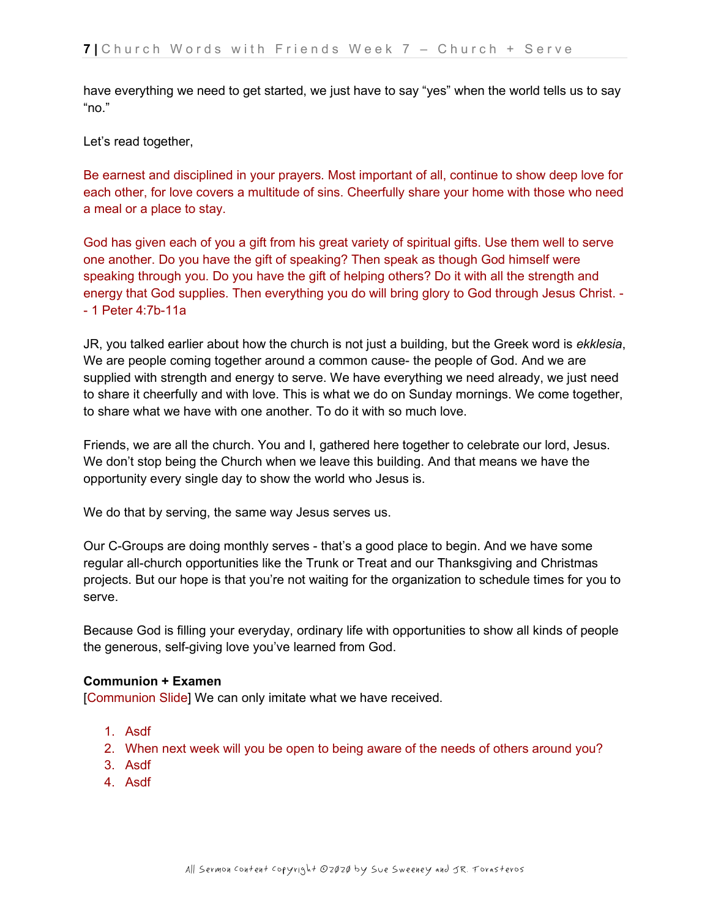have everything we need to get started, we just have to say "yes" when the world tells us to say "no."

Let's read together,

Be earnest and disciplined in your prayers. Most important of all, continue to show deep love for each other, for love covers a multitude of sins. Cheerfully share your home with those who need a meal or a place to stay.

God has given each of you a gift from his great variety of spiritual gifts. Use them well to serve one another. Do you have the gift of speaking? Then speak as though God himself were speaking through you. Do you have the gift of helping others? Do it with all the strength and energy that God supplies. Then everything you do will bring glory to God through Jesus Christ. - - 1 Peter 4:7b-11a

JR, you talked earlier about how the church is not just a building, but the Greek word is *ekklesia*, We are people coming together around a common cause- the people of God. And we are supplied with strength and energy to serve. We have everything we need already, we just need to share it cheerfully and with love. This is what we do on Sunday mornings. We come together, to share what we have with one another. To do it with so much love.

Friends, we are all the church. You and I, gathered here together to celebrate our lord, Jesus. We don't stop being the Church when we leave this building. And that means we have the opportunity every single day to show the world who Jesus is.

We do that by serving, the same way Jesus serves us.

Our C-Groups are doing monthly serves - that's a good place to begin. And we have some regular all-church opportunities like the Trunk or Treat and our Thanksgiving and Christmas projects. But our hope is that you're not waiting for the organization to schedule times for you to serve.

Because God is filling your everyday, ordinary life with opportunities to show all kinds of people the generous, self-giving love you've learned from God.

## **Communion + Examen**

[Communion Slide] We can only imitate what we have received.

- 1. Asdf
- 2. When next week will you be open to being aware of the needs of others around you?
- 3. Asdf
- 4. Asdf